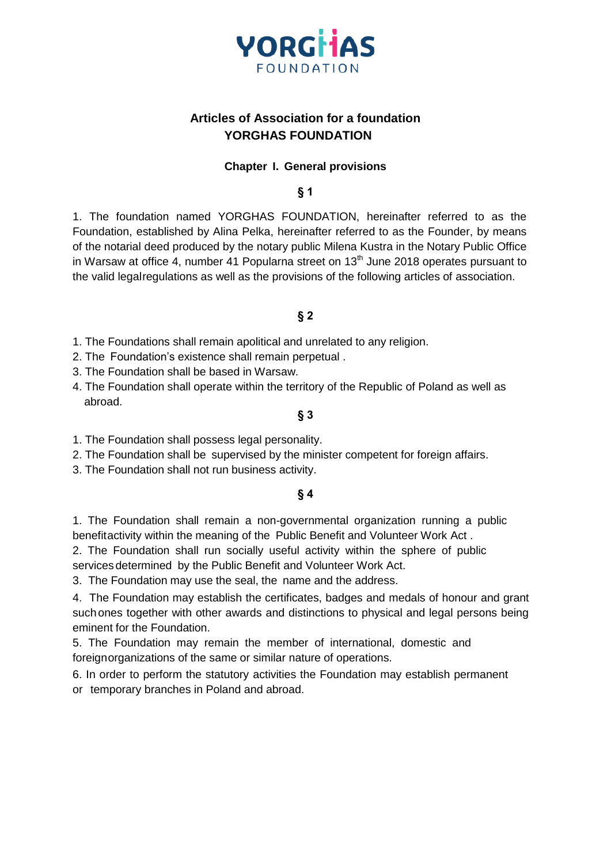

# **Articles of Association for a foundation YORGHAS FOUNDATION**

#### **Chapter I. General provisions**

**§ 1**

1. The foundation named YORGHAS FOUNDATION, hereinafter referred to as the Foundation, established by Alina Pelka, hereinafter referred to as the Founder, by means of the notarial deed produced by the notary public Milena Kustra in the Notary Public Office in Warsaw at office 4, number 41 Popularna street on  $13<sup>th</sup>$  June 2018 operates pursuant to the valid legalregulations as well as the provisions of the following articles of association.

#### **§ 2**

- 1. The Foundations shall remain apolitical and unrelated to any religion.
- 2. The Foundation's existence shall remain perpetual .
- 3. The Foundation shall be based in Warsaw.
- 4. The Foundation shall operate within the territory of the Republic of Poland as well as abroad.

#### **§ 3**

- 1. The Foundation shall possess legal personality.
- 2. The Foundation shall be supervised by the minister competent for foreign affairs.
- 3. The Foundation shall not run business activity.

#### **§ 4**

1. The Foundation shall remain a non-governmental organization running a public benefitactivity within the meaning of the Public Benefit and Volunteer Work Act .

2. The Foundation shall run socially useful activity within the sphere of public servicesdetermined by the Public Benefit and Volunteer Work Act.

3. The Foundation may use the seal, the name and the address.

4. The Foundation may establish the certificates, badges and medals of honour and grant suchones together with other awards and distinctions to physical and legal persons being eminent for the Foundation.

5. The Foundation may remain the member of international, domestic and foreignorganizations of the same or similar nature of operations.

6. In order to perform the statutory activities the Foundation may establish permanent or temporary branches in Poland and abroad.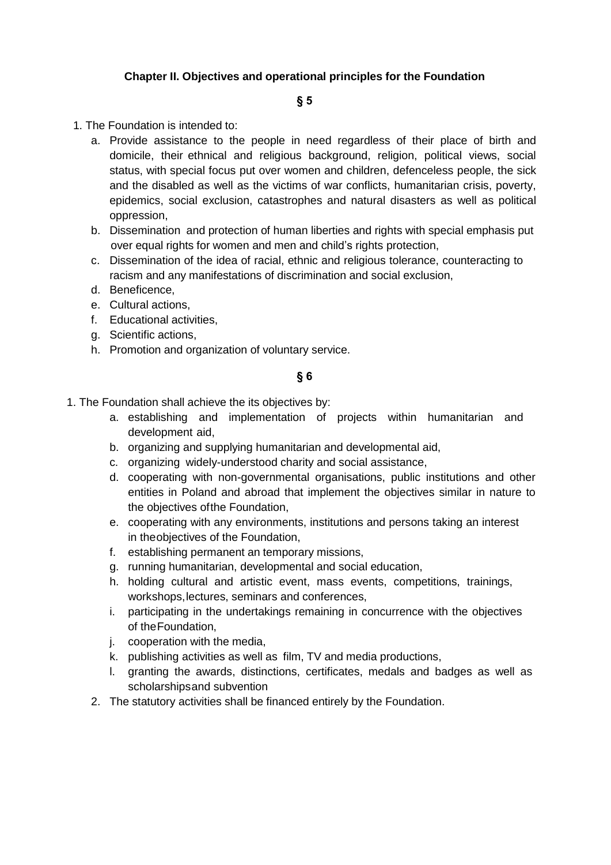### **Chapter II. Objectives and operational principles for the Foundation**

### **§ 5**

- 1. The Foundation is intended to:
	- a. Provide assistance to the people in need regardless of their place of birth and domicile, their ethnical and religious background, religion, political views, social status, with special focus put over women and children, defenceless people, the sick and the disabled as well as the victims of war conflicts, humanitarian crisis, poverty, epidemics, social exclusion, catastrophes and natural disasters as well as political oppression,
	- b. Dissemination and protection of human liberties and rights with special emphasis put over equal rights for women and men and child's rights protection,
	- c. Dissemination of the idea of racial, ethnic and religious tolerance, counteracting to racism and any manifestations of discrimination and social exclusion,
	- d. Beneficence,
	- e. Cultural actions,
	- f. Educational activities,
	- g. Scientific actions,
	- h. Promotion and organization of voluntary service.

### **§ 6**

- 1. The Foundation shall achieve the its objectives by:
	- a. establishing and implementation of projects within humanitarian and development aid,
	- b. organizing and supplying humanitarian and developmental aid,
	- c. organizing widely-understood charity and social assistance,
	- d. cooperating with non-governmental organisations, public institutions and other entities in Poland and abroad that implement the objectives similar in nature to the objectives ofthe Foundation,
	- e. cooperating with any environments, institutions and persons taking an interest in theobjectives of the Foundation,
	- f. establishing permanent an temporary missions,
	- g. running humanitarian, developmental and social education,
	- h. holding cultural and artistic event, mass events, competitions, trainings, workshops,lectures, seminars and conferences,
	- i. participating in the undertakings remaining in concurrence with the objectives of theFoundation,
	- j. cooperation with the media,
	- k. publishing activities as well as film, TV and media productions,
	- l. granting the awards, distinctions, certificates, medals and badges as well as scholarshipsand subvention
	- 2. The statutory activities shall be financed entirely by the Foundation.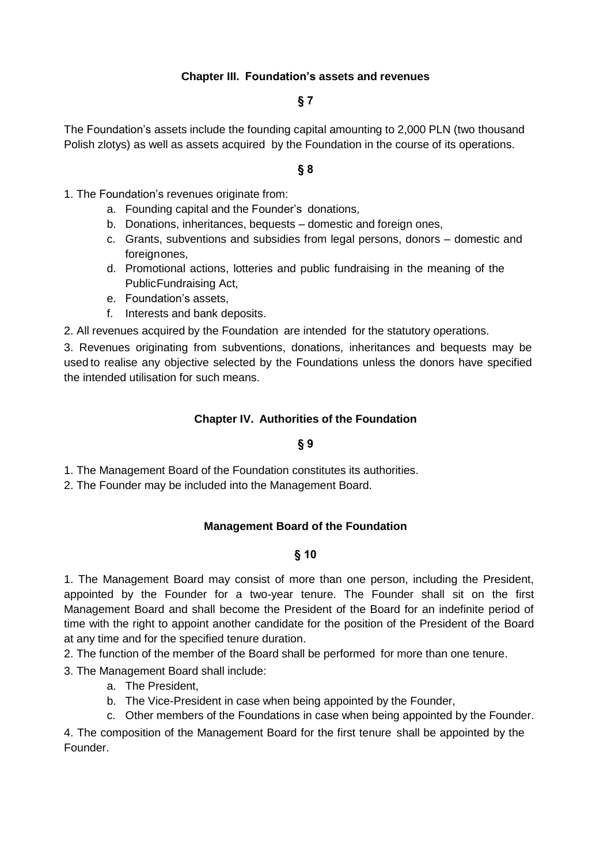### **Chapter III. Foundation's assets and revenues**

### **§ 7**

The Foundation's assets include the founding capital amounting to 2,000 PLN (two thousand Polish zlotys) as well as assets acquired by the Foundation in the course of its operations.

### **§ 8**

- 1. The Foundation's revenues originate from:
	- a. Founding capital and the Founder's donations,
	- b. Donations, inheritances, bequests domestic and foreign ones,
	- c. Grants, subventions and subsidies from legal persons, donors domestic and foreignones,
	- d. Promotional actions, lotteries and public fundraising in the meaning of the PublicFundraising Act,
	- e. Foundation's assets,
	- f. Interests and bank deposits.

2. All revenues acquired by the Foundation are intended for the statutory operations.

3. Revenues originating from subventions, donations, inheritances and bequests may be used to realise any objective selected by the Foundations unless the donors have specified the intended utilisation for such means.

#### **Chapter IV. Authorities of the Foundation**

#### **§ 9**

1. The Management Board of the Foundation constitutes its authorities.

2. The Founder may be included into the Management Board.

### **Management Board of the Foundation**

#### **§ 10**

1. The Management Board may consist of more than one person, including the President, appointed by the Founder for a two-year tenure. The Founder shall sit on the first Management Board and shall become the President of the Board for an indefinite period of time with the right to appoint another candidate for the position of the President of the Board at any time and for the specified tenure duration.

2. The function of the member of the Board shall be performed for more than one tenure.

3. The Management Board shall include:

- a. The President,
- b. The Vice-President in case when being appointed by the Founder,
- c. Other members of the Foundations in case when being appointed by the Founder.

4. The composition of the Management Board for the first tenure shall be appointed by the Founder.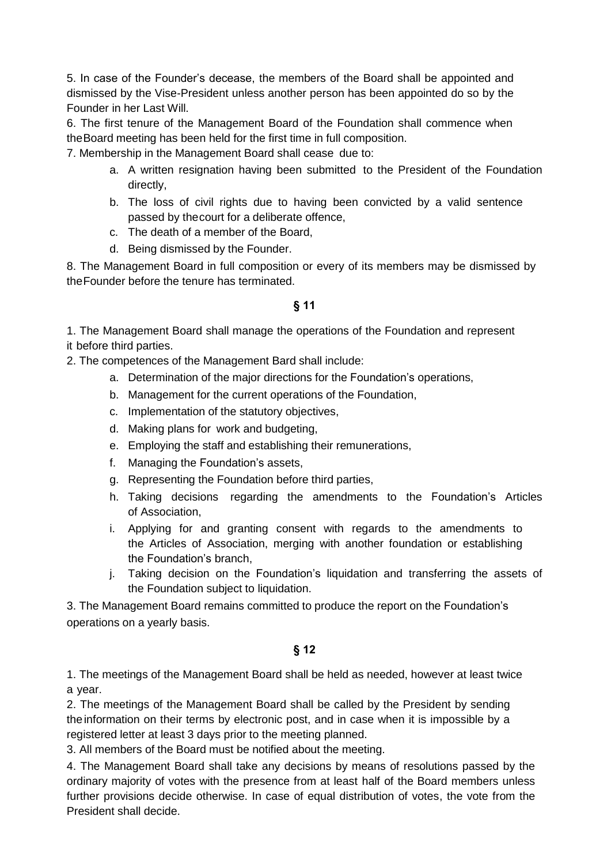5. In case of the Founder's decease, the members of the Board shall be appointed and dismissed by the Vise-President unless another person has been appointed do so by the Founder in her Last Will.

6. The first tenure of the Management Board of the Foundation shall commence when theBoard meeting has been held for the first time in full composition.

7. Membership in the Management Board shall cease due to:

- a. A written resignation having been submitted to the President of the Foundation directly,
- b. The loss of civil rights due to having been convicted by a valid sentence passed by thecourt for a deliberate offence,
- c. The death of a member of the Board,
- d. Being dismissed by the Founder.

8. The Management Board in full composition or every of its members may be dismissed by theFounder before the tenure has terminated.

## **§ 11**

1. The Management Board shall manage the operations of the Foundation and represent it before third parties.

2. The competences of the Management Bard shall include:

- a. Determination of the major directions for the Foundation's operations,
- b. Management for the current operations of the Foundation,
- c. Implementation of the statutory objectives,
- d. Making plans for work and budgeting,
- e. Employing the staff and establishing their remunerations,
- f. Managing the Foundation's assets,
- g. Representing the Foundation before third parties,
- h. Taking decisions regarding the amendments to the Foundation's Articles of Association,
- i. Applying for and granting consent with regards to the amendments to the Articles of Association, merging with another foundation or establishing the Foundation's branch,
- j. Taking decision on the Foundation's liquidation and transferring the assets of the Foundation subject to liquidation.

3. The Management Board remains committed to produce the report on the Foundation's operations on a yearly basis.

### **§ 12**

1. The meetings of the Management Board shall be held as needed, however at least twice a year.

2. The meetings of the Management Board shall be called by the President by sending the information on their terms by electronic post, and in case when it is impossible by a registered letter at least 3 days prior to the meeting planned.

3. All members of the Board must be notified about the meeting.

4. The Management Board shall take any decisions by means of resolutions passed by the ordinary majority of votes with the presence from at least half of the Board members unless further provisions decide otherwise. In case of equal distribution of votes, the vote from the President shall decide.